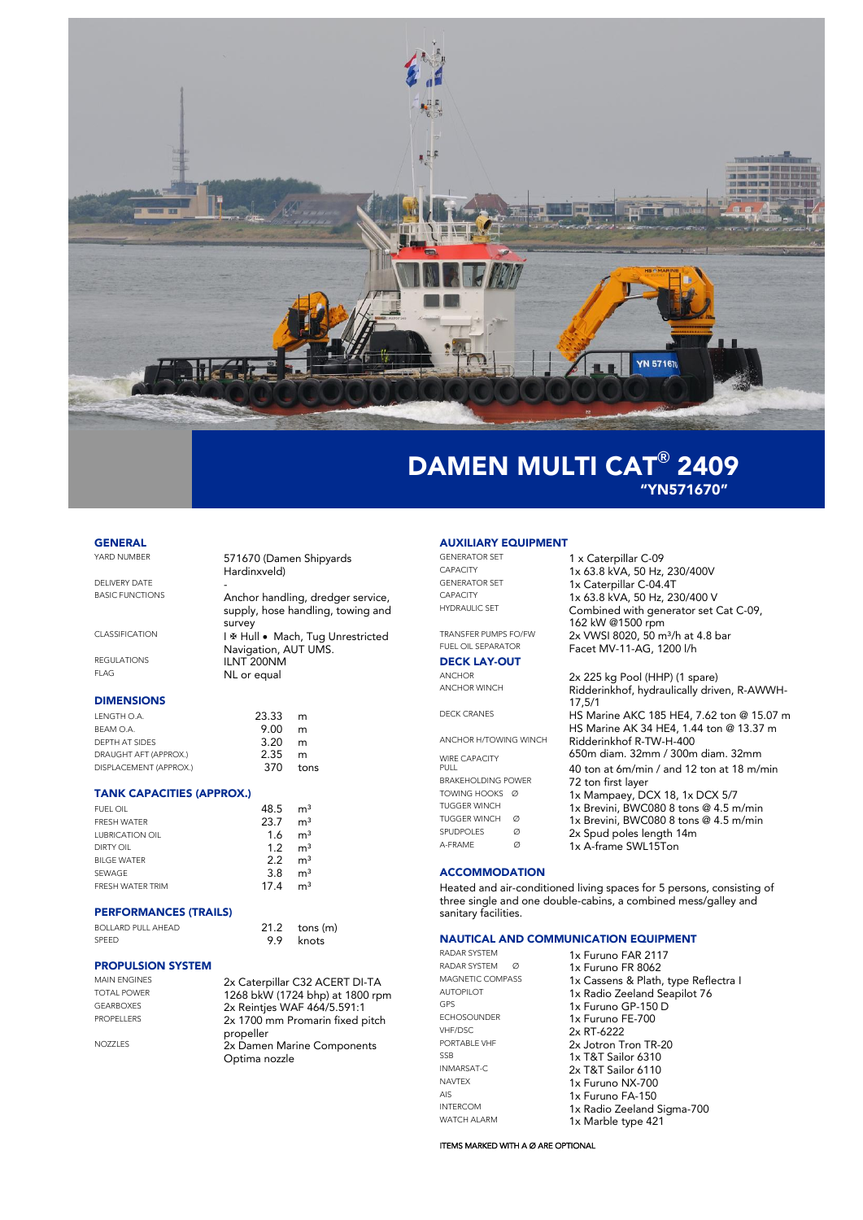

"YN571670"

# **GENERAL**<br>YARD NUMBER

571670 (Damen Shipyards Hardinxveld) DELIVERY DATE<br>BASIC FUNCTIONS Anchor handling, dredger service, supply, hose handling, towing and survey CLASSIFICATION I & Hull · Mach, Tug Unrestricted Navigation, AUT UMS. REGULATIONS **ILNT 200NM**<br>FLAG **NL OF OCUP** NL or equal

## DIMENSIONS

| LENGTH O.A.            | 23.33 | m    |
|------------------------|-------|------|
| BEAM O.A.              | 9.00  | m    |
| DEPTH AT SIDES         | 3.20  | m    |
| DRAUGHT AFT (APPROX.)  | 2.35  | m    |
| DISPLACEMENT (APPROX.) | 370   | tons |

## TANK CAPACITIES (APPROX.)

| <b>FUEL OIL</b>        | 48.5 | m <sup>3</sup> |
|------------------------|------|----------------|
| <b>FRESH WATER</b>     | 23.7 | m <sup>3</sup> |
| <b>LUBRICATION OIL</b> | 1.6  | m <sup>3</sup> |
| DIRTY OIL              | 1.2  | m <sup>3</sup> |
| <b>BILGE WATER</b>     | 22   | m <sup>3</sup> |
| SEWAGE                 | 3.8  | m <sup>3</sup> |
| FRESH WATER TRIM       | 174  | m <sup>3</sup> |
|                        |      |                |

## PERFORMANCES (TRAILS)

BOLLARD PULL AHEAD 21.2 tons (m)<br>
SPEED 9.9 knots

## PROPULSION SYSTEM

| <b>MAIN ENGINES</b> | 2x Caterpillar C32 ACERT DI-TA               |
|---------------------|----------------------------------------------|
| <b>TOTAL POWER</b>  | 1268 bkW (1724 bhp) at 1800 rpm              |
| <b>GEARBOXES</b>    | 2x Reinties WAF 464/5.591:1                  |
| <b>PROPELLERS</b>   | 2x 1700 mm Promarin fixed pitch<br>propeller |
| <b>NOZZLES</b>      | 2x Damen Marine Components<br>Optima nozzle  |

knots

# **AUXILIARY EQUIPMENT**<br>GENERATOR SET

# **DECK LAY-OUT**<br>ANCHOR

| ANCHOR H/TOWING WINCH        |   |
|------------------------------|---|
| <b>WIRE CAPACITY</b><br>PULL |   |
| <b>BRAKEHOLDING POWER</b>    |   |
| TOWING HOOKS Ø               |   |
| TUGGER WINCH                 |   |
| <b>TUGGER WINCH</b>          | Ø |
| <b>SPUDPOLES</b>             | Ø |
| A-FRAMF                      | Ø |

### GENERATOR SET 1 x Caterpillar C-09<br>CAPACITY 1 x 63 8 kVA 50 Hz CAPACITY  $1 \times 63.8$  kVA, 50 Hz, 230/400V<br>GENERATOR SET  $1 \times$  Caternillar C-04 4T GENERATOR SET 1x Caterpillar C-04.4T<br>CAPACITY 1x 63 8 kVA 50 Hz 23 CAPACITY 1x 63.8 kVA, 50 Hz, 230/400 V<br>Combined with generator set 6 Combined with generator set Cat C-09, 162 kW @1500 rpm TRANSFER PUMPS FO/FW  $2x$  VWSI 8020, 50 m<sup>3</sup>/h at 4.8 bar FUEL OIL SEPARATOR **Facet MV-11-AG, 1200 I/h**

ANCHOR 2x 225 kg Pool (HHP) (1 spare)<br>ANCHOR WINCH Ridderinkhof hydraulically driv Ridderinkhof, hydraulically driven, R-AWWH-17,5/1 DECK CRANES HS Marine AKC 185 HE4, 7.62 ton @ 15.07 m HS Marine AK 34 HE4, 1.44 ton @ 13.37 m Ridderinkhof R-TW-H-400 650m diam. 32mm / 300m diam. 32mm 40 ton at 6m/min / and 12 ton at 18 m/min 72 ton first layer TOWING HOOKS Ø 1x Mampaey, DCX 18, 1x DCX 5/7 TUGGER WINCH 1x Brevini, BWC080 8 tons @ 4.5 m/min 1x Brevini, BWC080 8 tons @ 4.5 m/min  $2x$  Spud poles length 14m 1x A-frame SWL15Ton

## **ACCOMMODATION**

Heated and air-conditioned living spaces for 5 persons, consisting of three single and one double-cabins, a combined mess/galley and sanitary facilities.

# **NAUTICAL AND COMMUNICATION EQUIPMENT**<br>RADAR SYSTEM **1x Eurino EAR 2117**

RADAR SYSTEM Ø 1x Furuno FR 8062<br>MAGNETIC COMPASS 1x Cassens & Plath ECHOSOUNDER 1x Furuno FE-700<br>VHF/DSC 2x RT-6222 VHF/DSC 2x RT-6222<br>PORTABLE VHF 2y later T SSB 1x T&T Sailor 6310 INMARSAT-C 2x T&T Sailor 6110 NAVTEX 1x Furuno NX-700<br>Als 1x Furuno EA 150 AIS 1x Furuno FA-150<br>
INTERCOM 1x Radio Zeeland

RADAR SYSTEM 1x Furuno FAR 2117<br>RADAR SYSTEM 2 MAGNETIC COMPASS 1x Cassens & Plath, type Reflectra I<br>AUTOPILOT 1x Radio Zeeland Seapilot 76 AUTOPILOT **1x Radio Zeeland Seapilot 76**<br>GPS **1x Furuno GP-150 D** GPS 1x Furuno GP-150 D<br>ECHOSOUNDER 1x Furuno FF-700 PORTABLE VHF 2x Jotron Tron TR-20 INTERCOM 1x Radio Zeeland Sigma-700<br>WATCH ALARM 1x Marble type 421 1x Marble type 421

### ITEMS MARKED WITH A Ø ARE OPTIONAL